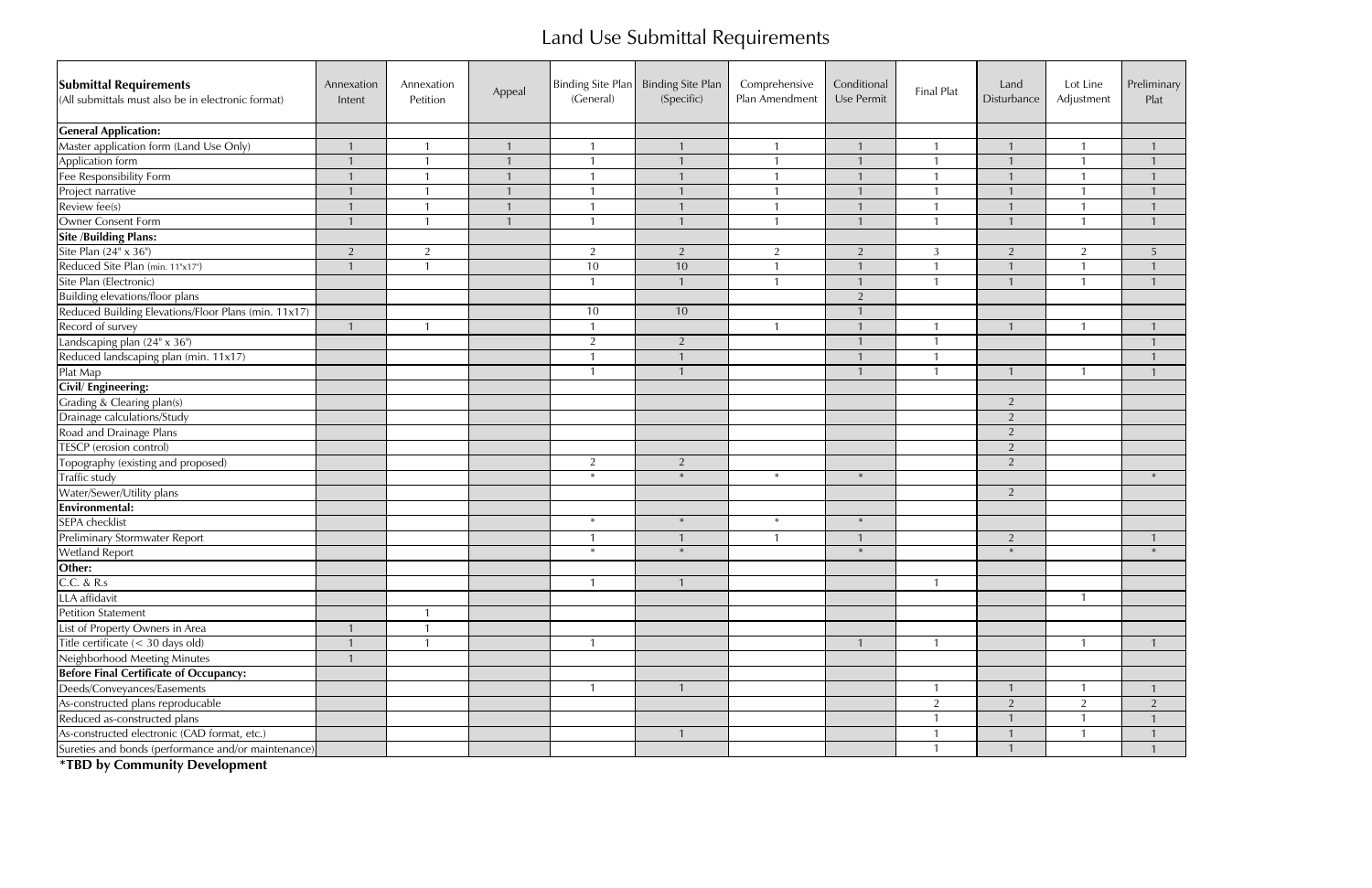## Land Use Submittal Requirements

| <b>Submittal Requirements</b><br>(All submittals must also be in electronic format) | Annexation<br>Intent | Annexation<br>Petition | Appeal | Binding Site Plan<br>(General) | <b>Binding Site Plan</b><br>(Specific) | Comprehensive<br>Plan Amendment | Conditional<br>Use Permit | Final Plat | Land<br>Disturbance | Lot Line<br>Adjustment | Preliminary<br>Plat |
|-------------------------------------------------------------------------------------|----------------------|------------------------|--------|--------------------------------|----------------------------------------|---------------------------------|---------------------------|------------|---------------------|------------------------|---------------------|
| <b>General Application:</b>                                                         |                      |                        |        |                                |                                        |                                 |                           |            |                     |                        |                     |
| Master application form (Land Use Only)                                             |                      |                        |        |                                |                                        |                                 | $\mathbf{1}$              |            |                     |                        |                     |
| Application form<br>Fee Responsibility Form                                         |                      | $\overline{1}$         |        |                                |                                        | $\mathbf{1}$                    | $\mathbf{1}$              |            | $\mathbf{1}$        |                        |                     |
|                                                                                     |                      | -1                     |        |                                |                                        |                                 |                           |            |                     |                        |                     |
| Project narrative                                                                   |                      | -1                     |        |                                |                                        |                                 |                           |            |                     |                        |                     |
| Review fee(s)                                                                       |                      |                        |        |                                |                                        |                                 |                           |            |                     |                        |                     |
| Owner Consent Form                                                                  |                      | $\overline{1}$         |        |                                |                                        | $\mathbf{1}$                    |                           |            |                     |                        |                     |
| <b>Site /Building Plans:</b>                                                        |                      |                        |        |                                |                                        |                                 |                           |            |                     |                        |                     |
| Site Plan $(24" \times 36")$                                                        | $\overline{2}$       | 2                      |        | 2                              | $\overline{2}$                         | $\overline{2}$                  | 2                         | 3          | 2                   | 2                      | -5                  |
| Reduced Site Plan (min. 11"x17")                                                    |                      | $\mathbf{1}$           |        | 10                             | 10                                     |                                 | $\mathbf{1}$              |            |                     |                        |                     |
| Site Plan (Electronic)                                                              |                      |                        |        |                                |                                        | $\mathbf{1}$                    | $\mathbf{1}$              |            |                     |                        |                     |
| <b>Building elevations/floor plans</b>                                              |                      |                        |        |                                |                                        |                                 | 2                         |            |                     |                        |                     |
| Reduced Building Elevations/Floor Plans (min. 11x17)                                |                      |                        |        | 10                             | 10                                     |                                 |                           |            |                     |                        |                     |
| Record of survey                                                                    |                      | -1                     |        | $\overline{1}$                 |                                        | $\mathbf{1}$                    |                           |            |                     |                        |                     |
|                                                                                     |                      |                        |        | 2                              | 2                                      |                                 |                           |            |                     |                        |                     |
| Landscaping plan (24" x 36")<br>Reduced landscaping plan (min. 11x17)               |                      |                        |        | $\mathbf{1}$                   |                                        |                                 |                           |            |                     |                        |                     |
| Plat Map                                                                            |                      |                        |        |                                |                                        |                                 | $\mathbf{1}$              | 1          |                     |                        |                     |
| Civil/ Engineering:                                                                 |                      |                        |        |                                |                                        |                                 |                           |            |                     |                        |                     |
| Grading & Clearing plan(s)                                                          |                      |                        |        |                                |                                        |                                 |                           |            | 2                   |                        |                     |
| Drainage calculations/Study                                                         |                      |                        |        |                                |                                        |                                 |                           |            | $\overline{2}$      |                        |                     |
| Road and Drainage Plans                                                             |                      |                        |        |                                |                                        |                                 |                           |            | 2                   |                        |                     |
| TESCP (erosion control)                                                             |                      |                        |        |                                |                                        |                                 |                           |            | 2                   |                        |                     |
| Topography (existing and proposed)                                                  |                      |                        |        | 2                              | 2                                      |                                 |                           |            | $\overline{2}$      |                        |                     |
| Traffic study                                                                       |                      |                        |        | $\ast$                         | $\ast$                                 | $\ast$                          | $\ast$                    |            |                     |                        | $\ast$              |
| Water/Sewer/Utility plans                                                           |                      |                        |        |                                |                                        |                                 |                           |            | $\overline{2}$      |                        |                     |
| <b>Environmental:</b>                                                               |                      |                        |        |                                |                                        |                                 |                           |            |                     |                        |                     |
| <b>SEPA</b> checklist                                                               |                      |                        |        | $\ast$                         | $\ast$                                 | $\ast$                          | $\ast$                    |            |                     |                        |                     |
| Preliminary Stormwater Report                                                       |                      |                        |        |                                |                                        | $\mathbf{1}$                    | $\mathbf{1}$              |            | $\overline{2}$      |                        |                     |
| <b>Wetland Report</b>                                                               |                      |                        |        | $\ast$                         | $\ast$                                 |                                 | $\ast$                    |            | $\ast$              |                        |                     |
| Other:                                                                              |                      |                        |        |                                |                                        |                                 |                           |            |                     |                        |                     |
| C.C. & R.s                                                                          |                      |                        |        |                                |                                        |                                 |                           |            |                     |                        |                     |
| LLA affidavit                                                                       |                      |                        |        |                                |                                        |                                 |                           |            |                     |                        |                     |
| <b>Petition Statement</b>                                                           |                      |                        |        |                                |                                        |                                 |                           |            |                     |                        |                     |
| List of Property Owners in Area                                                     |                      | -1                     |        |                                |                                        |                                 |                           |            |                     |                        |                     |
| Title certificate $(< 30$ days old)                                                 |                      | -1                     |        |                                |                                        |                                 |                           |            |                     |                        |                     |
|                                                                                     |                      |                        |        |                                |                                        |                                 |                           |            |                     |                        |                     |
| Neighborhood Meeting Minutes<br>Before Final Certificate of Occupancy:              |                      |                        |        |                                |                                        |                                 |                           |            |                     |                        |                     |
| Deeds/Conveyances/Easements                                                         |                      |                        |        |                                |                                        |                                 |                           |            |                     |                        |                     |
| As-constructed plans reproducable<br>Reduced as-constructed plans                   |                      |                        |        |                                |                                        |                                 |                           | 2          | 2                   | $\overline{2}$         | $\overline{2}$      |
|                                                                                     |                      |                        |        |                                |                                        |                                 |                           |            |                     |                        |                     |
| As-constructed electronic (CAD format, etc.)                                        |                      |                        |        |                                |                                        |                                 |                           |            |                     |                        |                     |
| Sureties and bonds (performance and/or maintenance)                                 |                      |                        |        |                                |                                        |                                 |                           |            |                     |                        |                     |

**\*TBD by Community Development**